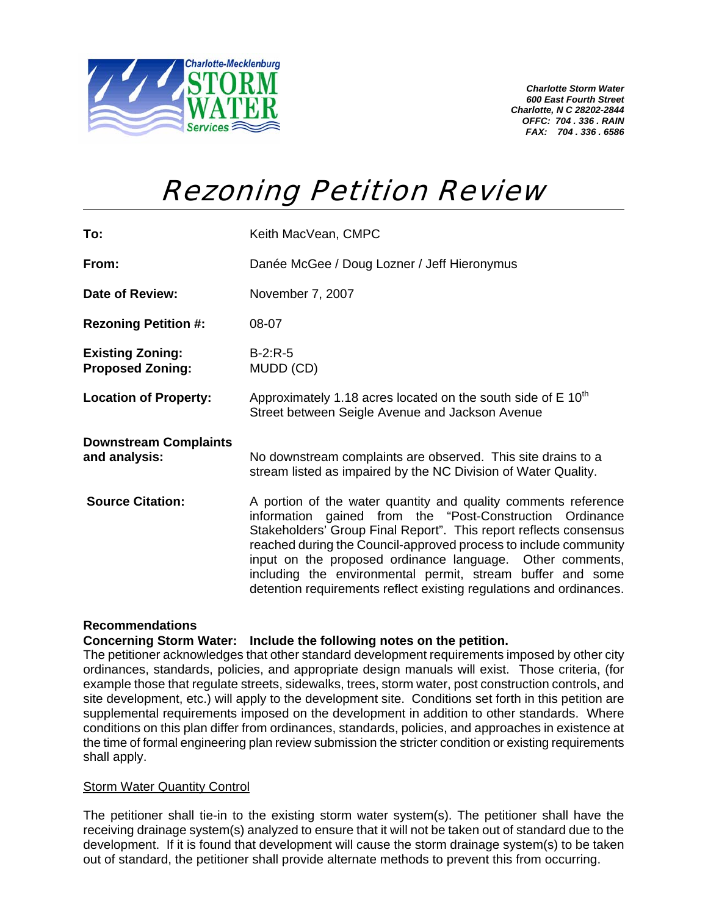

*Charlotte Storm Water 600 East Fourth Street Charlotte, N C 28202-2844 OFFC: 704 . 336 . RAIN FAX: 704 . 336 . 6586* 

# Rezoning Petition Review

| To:                                                | Keith MacVean, CMPC                                                                                                                                                                                                                                                                                                                                                                                                                                                   |  |  |
|----------------------------------------------------|-----------------------------------------------------------------------------------------------------------------------------------------------------------------------------------------------------------------------------------------------------------------------------------------------------------------------------------------------------------------------------------------------------------------------------------------------------------------------|--|--|
| From:                                              | Danée McGee / Doug Lozner / Jeff Hieronymus                                                                                                                                                                                                                                                                                                                                                                                                                           |  |  |
| <b>Date of Review:</b>                             | November 7, 2007                                                                                                                                                                                                                                                                                                                                                                                                                                                      |  |  |
| <b>Rezoning Petition #:</b>                        | 08-07                                                                                                                                                                                                                                                                                                                                                                                                                                                                 |  |  |
| <b>Existing Zoning:</b><br><b>Proposed Zoning:</b> | $B-2:R-5$<br>MUDD (CD)                                                                                                                                                                                                                                                                                                                                                                                                                                                |  |  |
| <b>Location of Property:</b>                       | Approximately 1.18 acres located on the south side of $E$ 10 <sup>th</sup><br>Street between Seigle Avenue and Jackson Avenue                                                                                                                                                                                                                                                                                                                                         |  |  |
| <b>Downstream Complaints</b><br>and analysis:      | No downstream complaints are observed. This site drains to a<br>stream listed as impaired by the NC Division of Water Quality.                                                                                                                                                                                                                                                                                                                                        |  |  |
| <b>Source Citation:</b>                            | A portion of the water quantity and quality comments reference<br>information gained from the "Post-Construction Ordinance<br>Stakeholders' Group Final Report". This report reflects consensus<br>reached during the Council-approved process to include community<br>input on the proposed ordinance language. Other comments,<br>including the environmental permit, stream buffer and some<br>detention requirements reflect existing regulations and ordinances. |  |  |

## **Recommendations**

### **Concerning Storm Water: Include the following notes on the petition.**

The petitioner acknowledges that other standard development requirements imposed by other city ordinances, standards, policies, and appropriate design manuals will exist. Those criteria, (for example those that regulate streets, sidewalks, trees, storm water, post construction controls, and site development, etc.) will apply to the development site. Conditions set forth in this petition are supplemental requirements imposed on the development in addition to other standards. Where conditions on this plan differ from ordinances, standards, policies, and approaches in existence at the time of formal engineering plan review submission the stricter condition or existing requirements shall apply.

### Storm Water Quantity Control

The petitioner shall tie-in to the existing storm water system(s). The petitioner shall have the receiving drainage system(s) analyzed to ensure that it will not be taken out of standard due to the development. If it is found that development will cause the storm drainage system(s) to be taken out of standard, the petitioner shall provide alternate methods to prevent this from occurring.